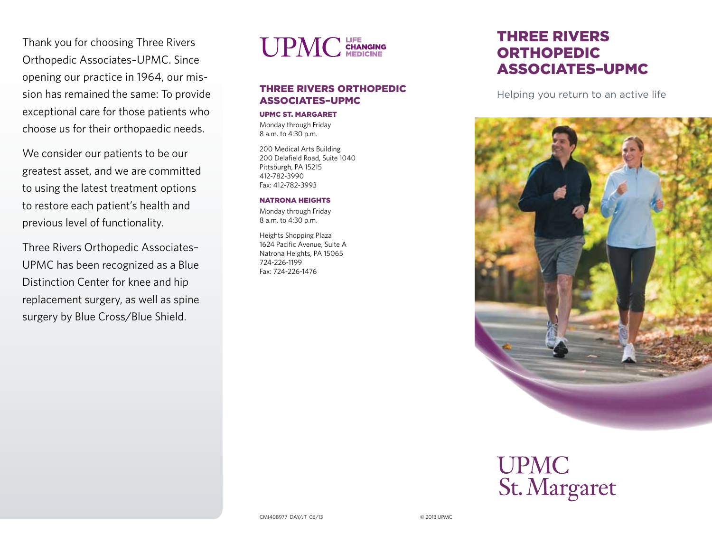Thank you for choosing Three Rivers Orthopedic Associates–UPMC. Since opening our practice in 1964, our mission has remained the same: To provide exceptional care for those patients who choose us for their orthopaedic needs.

We consider our patients to be our greatest asset, and we are committed to using the latest treatment options to restore each patient's health and previous level of functionality.

Three Rivers Orthopedic Associates– UPMC has been recognized as a Blue Distinction Center for knee and hip replacement surgery, as well as spine surgery by Blue Cross/Blue Shield.



#### Three Rivers Orthopedic Associates–UPMC

#### UPMC St. Margaret

Monday through Friday 8 a.m. to 4:30 p.m.

200 Medical Arts Building 200 Delafield Road, Suite 1040 Pittsburgh, PA 15215 412-782-3990 Fax: 412-782-3993

#### Natrona Heights

Monday through Friday 8 a.m. to 4:30 p.m.

Heights Shopping Plaza 1624 Pacific Avenue, Suite A Natrona Heights, PA 15065 724-226-1199 Fax: 724-226-1476

# Three Rivers **ORTHOPEDIC** Associates–UPMC

Helping you return to an active life



# **UPMC** St. Margaret